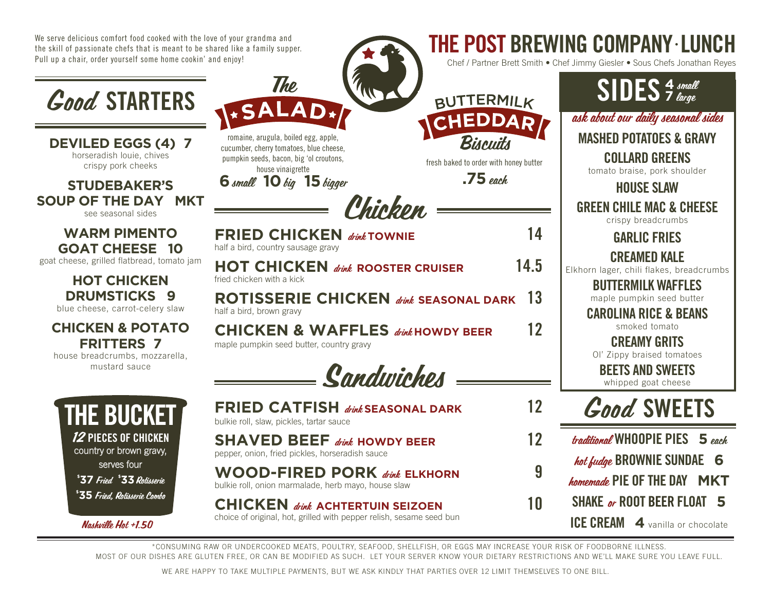We serve delicious comfort food cooked with the love of your grandma and the skill of passionate chefs that is meant to be shared like a family supper. Pull up a chair, order yourself some home cookin' and enjoy!

**The** 



**DEVILED EGGS (4) 7** horseradish louie, chives crispy pork cheeks

**STUDEBAKER'S SOUP OF THE DAY MKT** see seasonal sides

> **WARM PIMENTO GOAT CHEESE 10**

goat cheese, grilled flatbread, tomato jam

**HOT CHICKEN DRUMSTICKS 9**

blue cheese, carrot-celery slaw

#### **CHICKEN & POTATO FRITTERS 7**

house breadcrumbs, mozzarella, mustard sauce



Nashville Hot +1.50

| HEDDA<br>Biscuits<br>romaine, arugula, boiled egg, apple,<br>cucumber, cherry tomatoes, blue cheese,<br>pumpkin seeds, bacon, big 'ol croutons,<br>fresh baked to order with honey butter<br>house vinaigrette<br>$.75$ each<br>6 small 10 big 15 bigger<br>Chicken |      |
|---------------------------------------------------------------------------------------------------------------------------------------------------------------------------------------------------------------------------------------------------------------------|------|
| <b>FRIED CHICKEN</b><br>drink TOWNIE<br>half a bird, country sausage gravy                                                                                                                                                                                          | 14   |
| <b>HOT CHICKEN</b> drink ROOSTER CRUISER<br>fried chicken with a kick                                                                                                                                                                                               | 14.5 |
| <b>ROTISSERIE CHICKEN</b> direk seasonal dark<br>half a bird, brown gravy                                                                                                                                                                                           | 13   |
| <b>CHICKEN &amp; WAFFLES</b> divection of the CHICKEN<br>maple pumpkin seed butter, country gravy                                                                                                                                                                   | 12   |
| - Sandwiches =                                                                                                                                                                                                                                                      |      |
| FRIED CATFISH divin SEASONAL DARK<br>bulkie roll, slaw, pickles, tartar sauce                                                                                                                                                                                       | 12   |
| <b>SHAVED BEEF</b> dink HOWDY BEER<br>pepper, onion, fried pickles, horseradish sauce                                                                                                                                                                               | 12   |
| <b>WOOD-FIRED PORK</b> dink ELKHORN<br>bulkie roll, onion marmalade, herb mayo, house slaw                                                                                                                                                                          | g    |

**CHICKEN** *drink* ACHTERTUIN SEIZOEN choice of original, hot, grilled with pepper relish, sesame seed bun



ask about our daily seasonal sides **<sup>4</sup>** small SIDES **<sup>7</sup>** large

MASHED POTATOES & GRAVY

COLLARD GREENS

THE POST BREWING COMPANY • LUNCH

Chef / Partner Brett Smith • Chef Jimmy Giesler • Sous Chefs Jonathan Reyes

tomato braise, pork shoulder

HOUSE SLAW

GREEN CHILE MAC & CHEESE crispy breadcrumbs

GARLIC FRIES

CREAMED KALE

Elkhorn lager, chili flakes, breadcrumbs

BUTTERMILK WAFFLES maple pumpkin seed butter

CAROLINA RICE & BEANS

smoked tomato

CREAMY GRITS

Ol' Zippy braised tomatoes

BEETS AND SWEETS whipped goat cheese

## Good SWEETS

| 12 | traditional WHOOPIE PIES 5 each  |
|----|----------------------------------|
| 9  | hot fudge BROWNIE SUNDAE 6       |
|    | homemade PIE OF THE DAY MKT      |
| 10 | SHAKE or ROOT BEER FLOAT 5       |
|    | ICE CREAM 4 vanilla or chocolate |

\*CONSUMING RAW OR UNDERCOOKED MEATS, POULTRY, SEAFOOD, SHELLFISH, OR EGGS MAY INCREASE YOUR RISK OF FOODBORNE ILLNESS. MOST OF OUR DISHES ARE GLUTEN FREE, OR CAN BE MODIFIED AS SUCH. LET YOUR SERVER KNOW YOUR DIETARY RESTRICTIONS AND WE'LL MAKE SURE YOU LEAVE FULL.

WE ARE HAPPY TO TAKE MULTIPLE PAYMENTS, BUT WE ASK KINDLY THAT PARTIES OVER 12 LIMIT THEMSELVES TO ONE BILL.